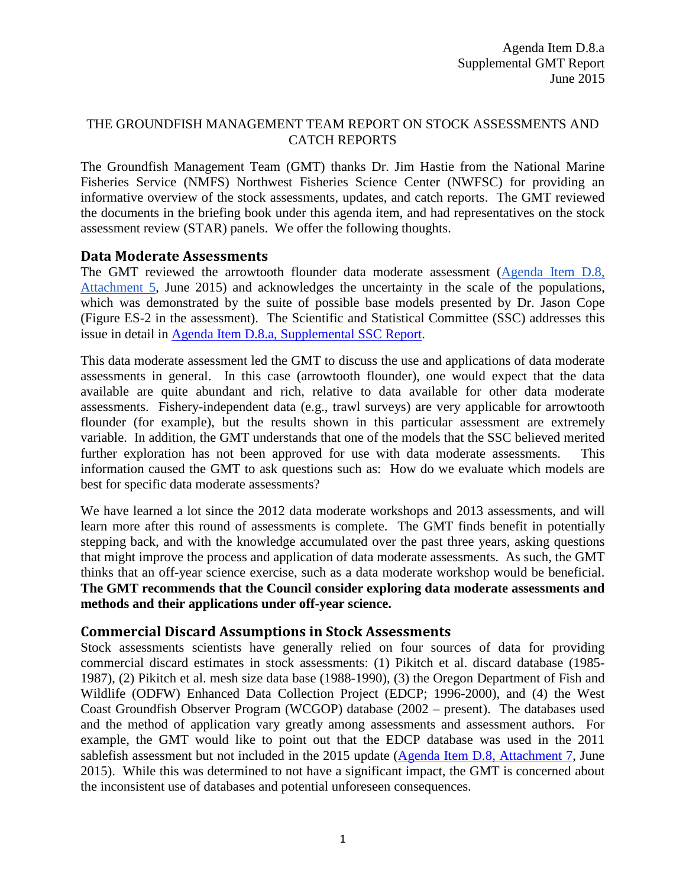### THE GROUNDFISH MANAGEMENT TEAM REPORT ON STOCK ASSESSMENTS AND CATCH REPORTS

The Groundfish Management Team (GMT) thanks Dr. Jim Hastie from the National Marine Fisheries Service (NMFS) Northwest Fisheries Science Center (NWFSC) for providing an informative overview of the stock assessments, updates, and catch reports. The GMT reviewed the documents in the briefing book under this agenda item, and had representatives on the stock assessment review (STAR) panels. We offer the following thoughts.

#### **Data Moderate Assessments**

The GMT reviewed the arrowtooth flounder data moderate assessment (Agenda Item D.8, [Attachment 5,](http://www.pcouncil.org/wp-content/uploads/2015/05/D8_Att5_ATF_2015_data-mod_ExecSummary_JUN2015BB.pdf) June 2015) and acknowledges the uncertainty in the scale of the populations, which was demonstrated by the suite of possible base models presented by Dr. Jason Cope (Figure ES-2 in the assessment). The Scientific and Statistical Committee (SSC) addresses this issue in detail in [Agenda Item D.8.a, Supplemental SSC Report.](http://www.pcouncil.org/wp-content/uploads/2015/06/D8a_Sup_SSC_Rpt_JUN2015BB.pdf)

This data moderate assessment led the GMT to discuss the use and applications of data moderate assessments in general. In this case (arrowtooth flounder), one would expect that the data available are quite abundant and rich, relative to data available for other data moderate assessments. Fishery-independent data (e.g., trawl surveys) are very applicable for arrowtooth flounder (for example), but the results shown in this particular assessment are extremely variable. In addition, the GMT understands that one of the models that the SSC believed merited further exploration has not been approved for use with data moderate assessments. This information caused the GMT to ask questions such as: How do we evaluate which models are best for specific data moderate assessments?

We have learned a lot since the 2012 data moderate workshops and 2013 assessments, and will learn more after this round of assessments is complete. The GMT finds benefit in potentially stepping back, and with the knowledge accumulated over the past three years, asking questions that might improve the process and application of data moderate assessments. As such, the GMT thinks that an off-year science exercise, such as a data moderate workshop would be beneficial. **The GMT recommends that the Council consider exploring data moderate assessments and methods and their applications under off-year science.**

### **Commercial Discard Assumptions in Stock Assessments**

Stock assessments scientists have generally relied on four sources of data for providing commercial discard estimates in stock assessments: (1) Pikitch et al. discard database (1985- 1987), (2) Pikitch et al. mesh size data base (1988-1990), (3) the Oregon Department of Fish and Wildlife (ODFW) Enhanced Data Collection Project (EDCP; 1996-2000), and (4) the West Coast Groundfish Observer Program (WCGOP) database (2002 – present). The databases used and the method of application vary greatly among assessments and assessment authors. For example, the GMT would like to point out that the EDCP database was used in the 2011 sablefish assessment but not included in the 2015 update [\(Agenda Item D.8, Attachment 7,](http://www.pcouncil.org/wp-content/uploads/2015/05/D8_Att7_Petrale_2015_FULL-E-Only_JUN2015BB.pdf) June 2015). While this was determined to not have a significant impact, the GMT is concerned about the inconsistent use of databases and potential unforeseen consequences.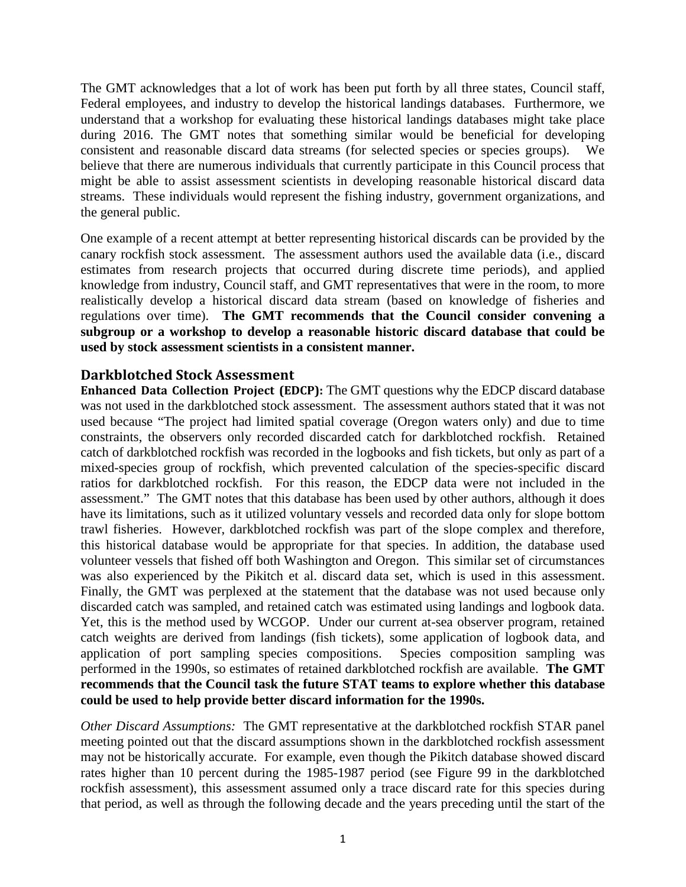The GMT acknowledges that a lot of work has been put forth by all three states, Council staff, Federal employees, and industry to develop the historical landings databases. Furthermore, we understand that a workshop for evaluating these historical landings databases might take place during 2016. The GMT notes that something similar would be beneficial for developing consistent and reasonable discard data streams (for selected species or species groups). We believe that there are numerous individuals that currently participate in this Council process that might be able to assist assessment scientists in developing reasonable historical discard data streams. These individuals would represent the fishing industry, government organizations, and the general public.

One example of a recent attempt at better representing historical discards can be provided by the canary rockfish stock assessment. The assessment authors used the available data (i.e., discard estimates from research projects that occurred during discrete time periods), and applied knowledge from industry, Council staff, and GMT representatives that were in the room, to more realistically develop a historical discard data stream (based on knowledge of fisheries and regulations over time). **The GMT recommends that the Council consider convening a subgroup or a workshop to develop a reasonable historic discard database that could be used by stock assessment scientists in a consistent manner.**

### **Darkblotched Stock Assessment**

**Enhanced Data Collection Project (EDCP):** The GMT questions why the EDCP discard database was not used in the darkblotched stock assessment. The assessment authors stated that it was not used because "The project had limited spatial coverage (Oregon waters only) and due to time constraints, the observers only recorded discarded catch for darkblotched rockfish. Retained catch of darkblotched rockfish was recorded in the logbooks and fish tickets, but only as part of a mixed-species group of rockfish, which prevented calculation of the species-specific discard ratios for darkblotched rockfish. For this reason, the EDCP data were not included in the assessment." The GMT notes that this database has been used by other authors, although it does have its limitations, such as it utilized voluntary vessels and recorded data only for slope bottom trawl fisheries. However, darkblotched rockfish was part of the slope complex and therefore, this historical database would be appropriate for that species. In addition, the database used volunteer vessels that fished off both Washington and Oregon. This similar set of circumstances was also experienced by the Pikitch et al. discard data set, which is used in this assessment. Finally, the GMT was perplexed at the statement that the database was not used because only discarded catch was sampled, and retained catch was estimated using landings and logbook data. Yet, this is the method used by WCGOP. Under our current at-sea observer program, retained catch weights are derived from landings (fish tickets), some application of logbook data, and application of port sampling species compositions. Species composition sampling was performed in the 1990s, so estimates of retained darkblotched rockfish are available. **The GMT recommends that the Council task the future STAT teams to explore whether this database could be used to help provide better discard information for the 1990s.**

*Other Discard Assumptions:* The GMT representative at the darkblotched rockfish STAR panel meeting pointed out that the discard assumptions shown in the darkblotched rockfish assessment may not be historically accurate. For example, even though the Pikitch database showed discard rates higher than 10 percent during the 1985-1987 period (see Figure 99 in the darkblotched rockfish assessment), this assessment assumed only a trace discard rate for this species during that period, as well as through the following decade and the years preceding until the start of the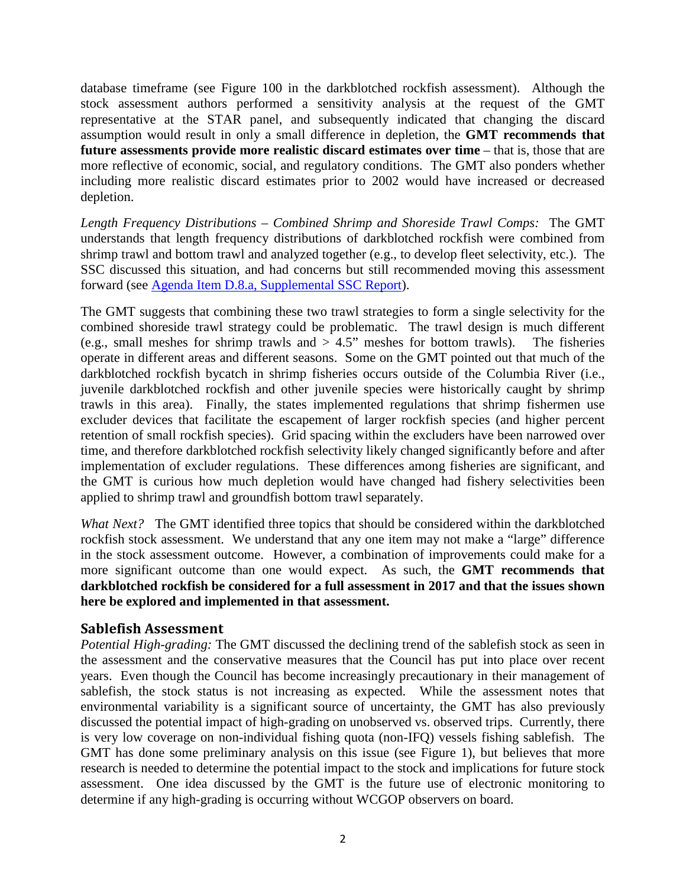database timeframe (see Figure 100 in the darkblotched rockfish assessment). Although the stock assessment authors performed a sensitivity analysis at the request of the GMT representative at the STAR panel, and subsequently indicated that changing the discard assumption would result in only a small difference in depletion, the **GMT recommends that future assessments provide more realistic discard estimates over time** – that is, those that are more reflective of economic, social, and regulatory conditions. The GMT also ponders whether including more realistic discard estimates prior to 2002 would have increased or decreased depletion.

*Length Frequency Distributions – Combined Shrimp and Shoreside Trawl Comps:* The GMT understands that length frequency distributions of darkblotched rockfish were combined from shrimp trawl and bottom trawl and analyzed together (e.g., to develop fleet selectivity, etc.). The SSC discussed this situation, and had concerns but still recommended moving this assessment forward (see [Agenda Item D.8.a, Supplemental SSC Report\)](http://www.pcouncil.org/wp-content/uploads/2015/06/D8a_Sup_SSC_Rpt_JUN2015BB.pdf).

The GMT suggests that combining these two trawl strategies to form a single selectivity for the combined shoreside trawl strategy could be problematic. The trawl design is much different (e.g., small meshes for shrimp trawls and  $> 4.5$ " meshes for bottom trawls). The fisheries operate in different areas and different seasons. Some on the GMT pointed out that much of the darkblotched rockfish bycatch in shrimp fisheries occurs outside of the Columbia River (i.e., juvenile darkblotched rockfish and other juvenile species were historically caught by shrimp trawls in this area). Finally, the states implemented regulations that shrimp fishermen use excluder devices that facilitate the escapement of larger rockfish species (and higher percent retention of small rockfish species). Grid spacing within the excluders have been narrowed over time, and therefore darkblotched rockfish selectivity likely changed significantly before and after implementation of excluder regulations. These differences among fisheries are significant, and the GMT is curious how much depletion would have changed had fishery selectivities been applied to shrimp trawl and groundfish bottom trawl separately.

*What Next?* The GMT identified three topics that should be considered within the darkblotched rockfish stock assessment. We understand that any one item may not make a "large" difference in the stock assessment outcome. However, a combination of improvements could make for a more significant outcome than one would expect. As such, the **GMT recommends that darkblotched rockfish be considered for a full assessment in 2017 and that the issues shown here be explored and implemented in that assessment.**

### **Sablefish Assessment**

*Potential High-grading:* The GMT discussed the declining trend of the sablefish stock as seen in the assessment and the conservative measures that the Council has put into place over recent years. Even though the Council has become increasingly precautionary in their management of sablefish, the stock status is not increasing as expected. While the assessment notes that environmental variability is a significant source of uncertainty, the GMT has also previously discussed the potential impact of high-grading on unobserved vs. observed trips. Currently, there is very low coverage on non-individual fishing quota (non-IFQ) vessels fishing sablefish. The GMT has done some preliminary analysis on this issue (see Figure 1), but believes that more research is needed to determine the potential impact to the stock and implications for future stock assessment. One idea discussed by the GMT is the future use of electronic monitoring to determine if any high-grading is occurring without WCGOP observers on board.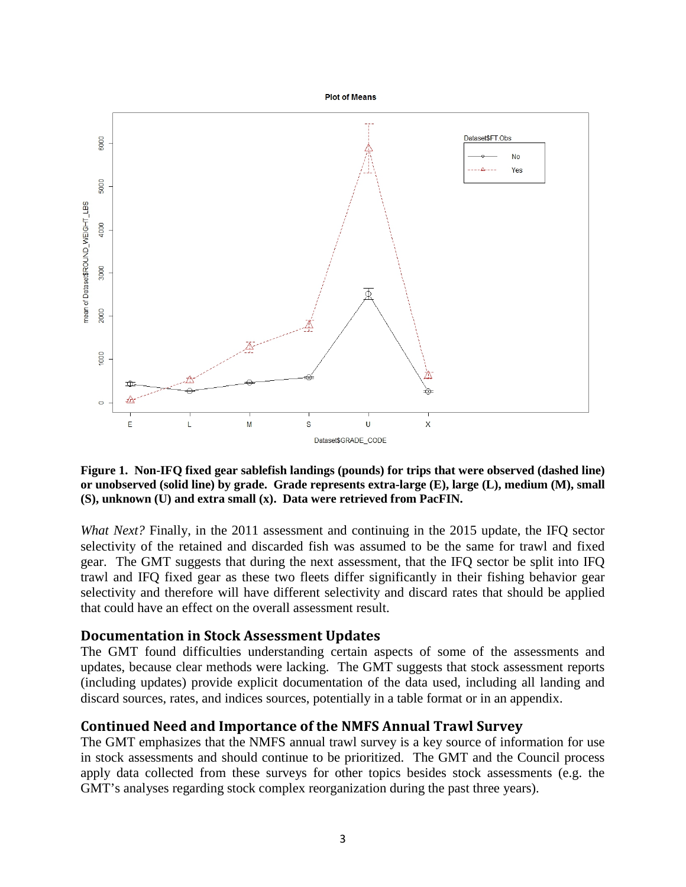

**Figure 1. Non-IFQ fixed gear sablefish landings (pounds) for trips that were observed (dashed line) or unobserved (solid line) by grade. Grade represents extra-large (E), large (L), medium (M), small (S), unknown (U) and extra small (x). Data were retrieved from PacFIN.**

*What Next?* Finally, in the 2011 assessment and continuing in the 2015 update, the IFQ sector selectivity of the retained and discarded fish was assumed to be the same for trawl and fixed gear. The GMT suggests that during the next assessment, that the IFQ sector be split into IFQ trawl and IFQ fixed gear as these two fleets differ significantly in their fishing behavior gear selectivity and therefore will have different selectivity and discard rates that should be applied that could have an effect on the overall assessment result.

#### **Documentation in Stock Assessment Updates**

The GMT found difficulties understanding certain aspects of some of the assessments and updates, because clear methods were lacking. The GMT suggests that stock assessment reports (including updates) provide explicit documentation of the data used, including all landing and discard sources, rates, and indices sources, potentially in a table format or in an appendix.

### **Continued Need and Importance of the NMFS Annual Trawl Survey**

The GMT emphasizes that the NMFS annual trawl survey is a key source of information for use in stock assessments and should continue to be prioritized. The GMT and the Council process apply data collected from these surveys for other topics besides stock assessments (e.g. the GMT's analyses regarding stock complex reorganization during the past three years).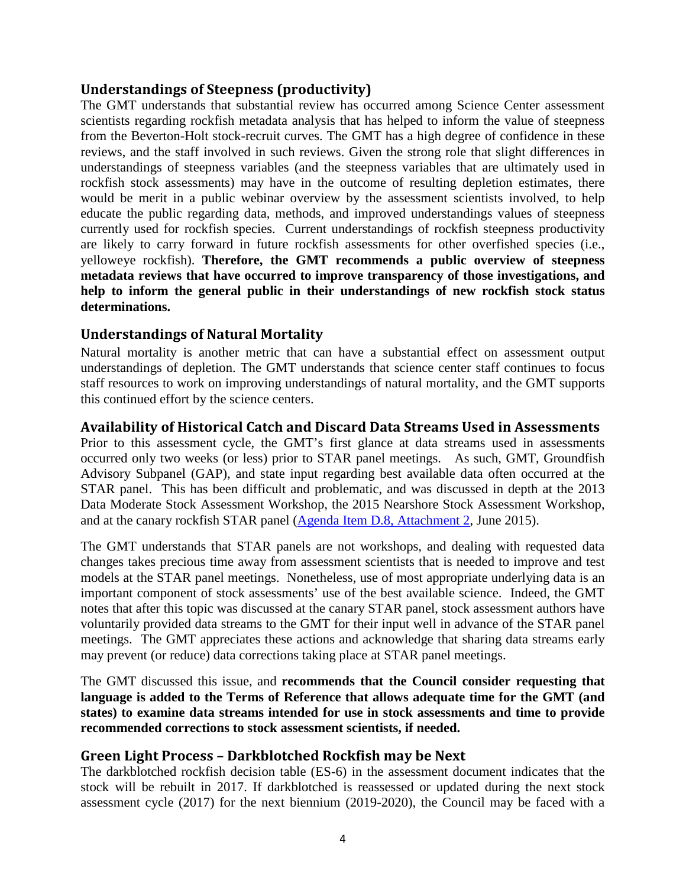## **Understandings of Steepness (productivity)**

The GMT understands that substantial review has occurred among Science Center assessment scientists regarding rockfish metadata analysis that has helped to inform the value of steepness from the Beverton-Holt stock-recruit curves. The GMT has a high degree of confidence in these reviews, and the staff involved in such reviews. Given the strong role that slight differences in understandings of steepness variables (and the steepness variables that are ultimately used in rockfish stock assessments) may have in the outcome of resulting depletion estimates, there would be merit in a public webinar overview by the assessment scientists involved, to help educate the public regarding data, methods, and improved understandings values of steepness currently used for rockfish species. Current understandings of rockfish steepness productivity are likely to carry forward in future rockfish assessments for other overfished species (i.e., yelloweye rockfish). **Therefore, the GMT recommends a public overview of steepness metadata reviews that have occurred to improve transparency of those investigations, and help to inform the general public in their understandings of new rockfish stock status determinations.** 

# **Understandings of Natural Mortality**

Natural mortality is another metric that can have a substantial effect on assessment output understandings of depletion. The GMT understands that science center staff continues to focus staff resources to work on improving understandings of natural mortality, and the GMT supports this continued effort by the science centers.

### **Availability of Historical Catch and Discard Data Streams Used in Assessments**

Prior to this assessment cycle, the GMT's first glance at data streams used in assessments occurred only two weeks (or less) prior to STAR panel meetings. As such, GMT, Groundfish Advisory Subpanel (GAP), and state input regarding best available data often occurred at the STAR panel. This has been difficult and problematic, and was discussed in depth at the 2013 Data Moderate Stock Assessment Workshop, the 2015 Nearshore Stock Assessment Workshop, and at the canary rockfish STAR panel [\(Agenda Item D.8, Attachment 2,](http://www.pcouncil.org/wp-content/uploads/2015/05/D8_Att2_Canary_2015_STAR_Panel_Rpt_JUN2015BB.pdf) June 2015).

The GMT understands that STAR panels are not workshops, and dealing with requested data changes takes precious time away from assessment scientists that is needed to improve and test models at the STAR panel meetings. Nonetheless, use of most appropriate underlying data is an important component of stock assessments' use of the best available science. Indeed, the GMT notes that after this topic was discussed at the canary STAR panel, stock assessment authors have voluntarily provided data streams to the GMT for their input well in advance of the STAR panel meetings. The GMT appreciates these actions and acknowledge that sharing data streams early may prevent (or reduce) data corrections taking place at STAR panel meetings.

The GMT discussed this issue, and **recommends that the Council consider requesting that language is added to the Terms of Reference that allows adequate time for the GMT (and states) to examine data streams intended for use in stock assessments and time to provide recommended corrections to stock assessment scientists, if needed.** 

### **Green Light Process – Darkblotched Rockfish may be Next**

The darkblotched rockfish decision table (ES-6) in the assessment document indicates that the stock will be rebuilt in 2017. If darkblotched is reassessed or updated during the next stock assessment cycle (2017) for the next biennium (2019-2020), the Council may be faced with a